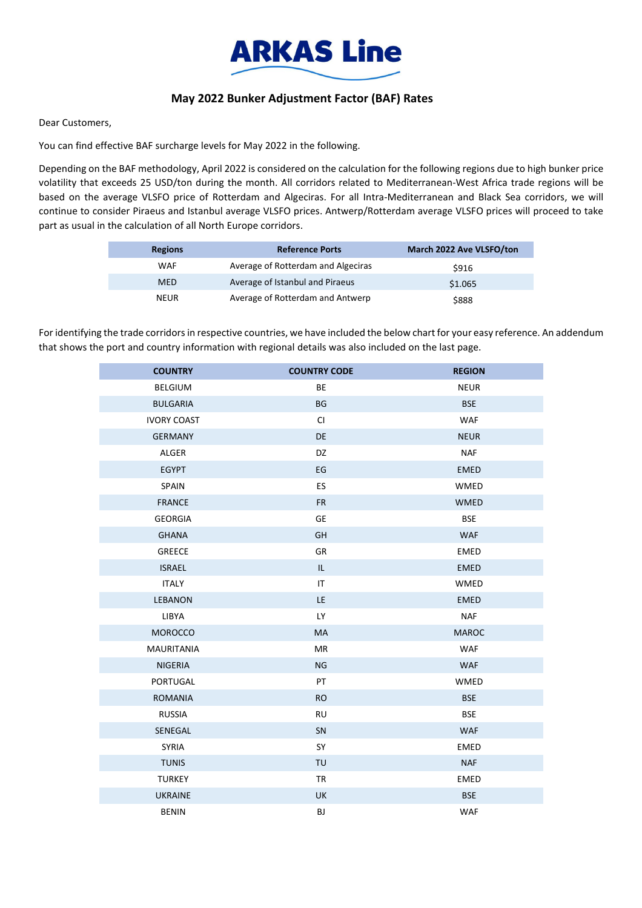

## **May 2022 Bunker Adjustment Factor (BAF) Rates**

Dear Customers,

You can find effective BAF surcharge levels for May 2022 in the following.

Depending on the BAF methodology, April 2022 is considered on the calculation for the following regions due to high bunker price volatility that exceeds 25 USD/ton during the month. All corridors related to Mediterranean-West Africa trade regions will be based on the average VLSFO price of Rotterdam and Algeciras. For all Intra-Mediterranean and Black Sea corridors, we will continue to consider Piraeus and Istanbul average VLSFO prices. Antwerp/Rotterdam average VLSFO prices will proceed to take part as usual in the calculation of all North Europe corridors.

| <b>Regions</b> | <b>Reference Ports</b>             | March 2022 Ave VLSFO/ton |
|----------------|------------------------------------|--------------------------|
| WAF            | Average of Rotterdam and Algeciras | \$916                    |
| <b>MED</b>     | Average of Istanbul and Piraeus    | \$1.065                  |
| <b>NEUR</b>    | Average of Rotterdam and Antwerp   | \$888                    |

For identifying the trade corridors in respective countries, we have included the below chart for your easy reference. An addendum that shows the port and country information with regional details was also included on the last page.

| <b>COUNTRY</b>     | <b>COUNTRY CODE</b> | <b>REGION</b> |
|--------------------|---------------------|---------------|
| <b>BELGIUM</b>     | BE                  | <b>NEUR</b>   |
| <b>BULGARIA</b>    | <b>BG</b>           | <b>BSE</b>    |
| <b>IVORY COAST</b> | <b>CI</b>           | <b>WAF</b>    |
| <b>GERMANY</b>     | DE                  | <b>NEUR</b>   |
| <b>ALGER</b>       | DZ                  | <b>NAF</b>    |
| <b>EGYPT</b>       | EG                  | <b>EMED</b>   |
| SPAIN              | ES                  | WMED          |
| <b>FRANCE</b>      | <b>FR</b>           | <b>WMED</b>   |
| <b>GEORGIA</b>     | GE                  | <b>BSE</b>    |
| <b>GHANA</b>       | GH                  | <b>WAF</b>    |
| <b>GREECE</b>      | GR                  | <b>EMED</b>   |
| <b>ISRAEL</b>      | IL.                 | <b>EMED</b>   |
| <b>ITALY</b>       | IT                  | WMED          |
| <b>LEBANON</b>     | LE                  | <b>EMED</b>   |
| LIBYA              | LY                  | <b>NAF</b>    |
| <b>MOROCCO</b>     | MA                  | <b>MAROC</b>  |
| <b>MAURITANIA</b>  | MR                  | <b>WAF</b>    |
| <b>NIGERIA</b>     | <b>NG</b>           | <b>WAF</b>    |
| <b>PORTUGAL</b>    | PT                  | <b>WMED</b>   |
| <b>ROMANIA</b>     | <b>RO</b>           | <b>BSE</b>    |
| <b>RUSSIA</b>      | <b>RU</b>           | <b>BSE</b>    |
| SENEGAL            | SN                  | <b>WAF</b>    |
| <b>SYRIA</b>       | SY                  | <b>EMED</b>   |
| <b>TUNIS</b>       | TU                  | <b>NAF</b>    |
| <b>TURKEY</b>      | TR                  | EMED          |
| <b>UKRAINE</b>     | <b>UK</b>           | <b>BSE</b>    |
| <b>BENIN</b>       | BJ                  | <b>WAF</b>    |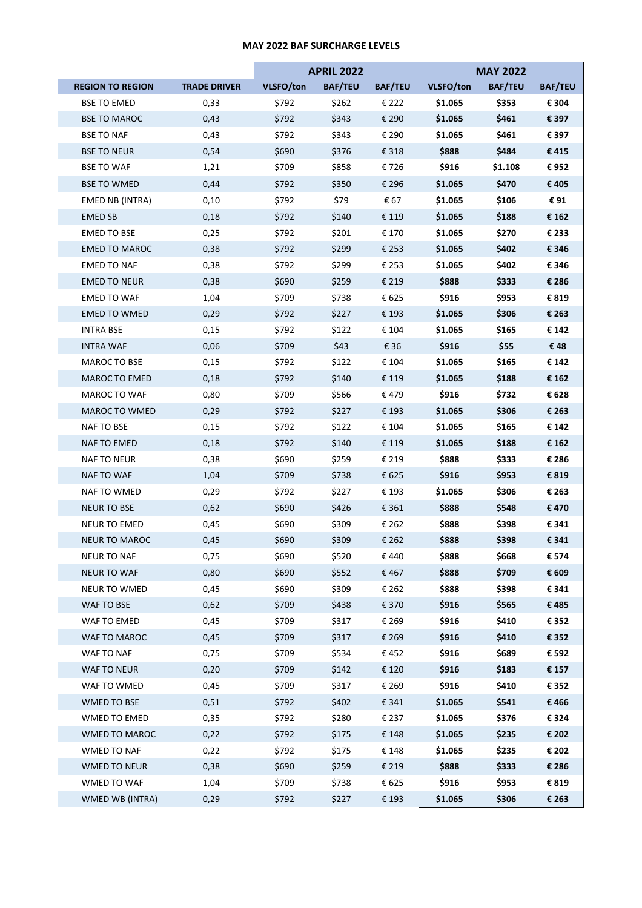## **MAY 2022 BAF SURCHARGE LEVELS**

|                         |                     |           | <b>APRIL 2022</b> |                |           | <b>MAY 2022</b> |                |
|-------------------------|---------------------|-----------|-------------------|----------------|-----------|-----------------|----------------|
| <b>REGION TO REGION</b> | <b>TRADE DRIVER</b> | VLSFO/ton | <b>BAF/TEU</b>    | <b>BAF/TEU</b> | VLSFO/ton | <b>BAF/TEU</b>  | <b>BAF/TEU</b> |
| <b>BSE TO EMED</b>      | 0,33                | \$792     | \$262             | € 222          | \$1.065   | \$353           | € 304          |
| <b>BSE TO MAROC</b>     | 0,43                | \$792     | \$343             | € 290          | \$1.065   | \$461           | € 397          |
| <b>BSE TO NAF</b>       | 0,43                | \$792     | \$343             | € 290          | \$1.065   | \$461           | € 397          |
| <b>BSE TO NEUR</b>      | 0,54                | \$690     | \$376             | € 318          | \$888     | \$484           | €415           |
| <b>BSE TO WAF</b>       | 1,21                | \$709     | \$858             | € 726          | \$916     | \$1.108         | €952           |
| <b>BSE TO WMED</b>      | 0,44                | \$792     | \$350             | € 296          | \$1.065   | \$470           | €405           |
| <b>EMED NB (INTRA)</b>  | 0,10                | \$792     | \$79              | € 67           | \$1.065   | \$106           | €91            |
| <b>EMED SB</b>          | 0,18                | \$792     | \$140             | € 119          | \$1.065   | \$188           | € 162          |
| EMED TO BSE             | 0,25                | \$792     | \$201             | € 170          | \$1.065   | \$270           | € 233          |
| <b>EMED TO MAROC</b>    | 0,38                | \$792     | \$299             | € 253          | \$1.065   | \$402           | € 346          |
| EMED TO NAF             | 0,38                | \$792     | \$299             | € 253          | \$1.065   | \$402           | € 346          |
| <b>EMED TO NEUR</b>     | 0,38                | \$690     | \$259             | € 219          | \$888     | \$333           | € 286          |
| <b>EMED TO WAF</b>      | 1,04                | \$709     | \$738             | € 625          | \$916     | \$953           | € 819          |
| <b>EMED TO WMED</b>     | 0,29                | \$792     | \$227             | € 193          | \$1.065   | \$306           | € 263          |
| INTRA BSE               | 0,15                | \$792     | \$122             | € 104          | \$1.065   | \$165           | € 142          |
| <b>INTRA WAF</b>        | 0,06                | \$709     | \$43              | € 36           | \$916     | \$55            | €48            |
| MAROC TO BSE            | 0,15                | \$792     | \$122             | € 104          | \$1.065   | \$165           | € 142          |
| <b>MAROC TO EMED</b>    | 0,18                | \$792     | \$140             | € 119          | \$1.065   | \$188           | € 162          |
| MAROC TO WAF            | 0,80                | \$709     | \$566             | € 479          | \$916     | \$732           | € 628          |
| MAROC TO WMED           | 0,29                | \$792     | \$227             | € 193          | \$1.065   | \$306           | € 263          |
| NAF TO BSE              | 0,15                | \$792     | \$122             | € 104          | \$1.065   | \$165           | € 142          |
| NAF TO EMED             | 0,18                | \$792     | \$140             | € 119          | \$1.065   | \$188           | € 162          |
| NAF TO NEUR             | 0,38                | \$690     | \$259             | € 219          | \$888     | \$333           | € 286          |
| NAF TO WAF              | 1,04                | \$709     | \$738             | € 625          | \$916     | \$953           | € 819          |
| NAF TO WMED             | 0,29                | \$792     | \$227             | € 193          | \$1.065   | \$306           | € 263          |
| NEUR TO BSE             | 0,62                | \$690     | \$426             | € 361          | \$888     | \$548           | €470           |
| <b>NEUR TO EMED</b>     | 0,45                | \$690     | \$309             | € 262          | \$888     | \$398           | € 341          |
| <b>NEUR TO MAROC</b>    | 0,45                | \$690     | \$309             | € 262          | \$888     | \$398           | € 341          |
| NEUR TO NAF             | 0,75                | \$690     | \$520             | €440           | \$888     | \$668           | € 574          |
| <b>NEUR TO WAF</b>      | 0,80                | \$690     | \$552             | €467           | \$888     | \$709           | € 609          |
| NEUR TO WMED            | 0,45                | \$690     | \$309             | € 262          | \$888     | \$398           | € 341          |
| WAF TO BSE              | 0,62                | \$709     | \$438             | € 370          | \$916     | \$565           | €485           |
| WAF TO EMED             | 0,45                | \$709     | \$317             | € 269          | \$916     | \$410           | € 352          |
| WAF TO MAROC            | 0,45                | \$709     | \$317             | € 269          | \$916     | \$410           | € 352          |
| WAF TO NAF              | 0,75                | \$709     | \$534             | €452           | \$916     | \$689           | € 592          |
| WAF TO NEUR             | 0,20                | \$709     | \$142             | € 120          | \$916     | \$183           | € 157          |
| WAF TO WMED             | 0,45                | \$709     | \$317             | € 269          | \$916     | \$410           | € 352          |
| WMED TO BSE             | 0,51                | \$792     | \$402             | € 341          | \$1.065   | \$541           | €466           |
| WMED TO EMED            | 0,35                | \$792     | \$280             | € 237          | \$1.065   | \$376           | € 324          |
| WMED TO MAROC           | 0,22                | \$792     | \$175             | € 148          | \$1.065   | \$235           | € 202          |
| WMED TO NAF             | 0,22                | \$792     | \$175             | € 148          | \$1.065   | \$235           | € 202          |
| <b>WMED TO NEUR</b>     | 0,38                | \$690     | \$259             | € 219          | \$888     | \$333           | € 286          |
| WMED TO WAF             | 1,04                | \$709     | \$738             | € 625          | \$916     | \$953           | € 819          |
| WMED WB (INTRA)         | 0,29                | \$792     | \$227             | € 193          | \$1.065   | \$306           | € 263          |